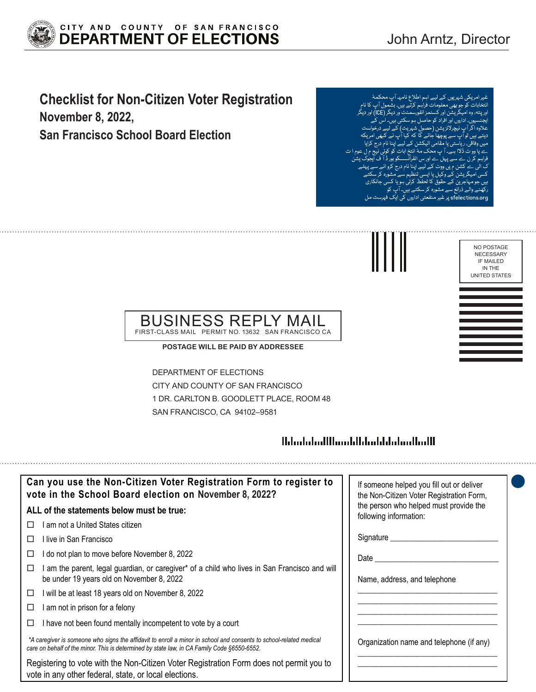

# **Checklist for Non-Citizen Voter Registration November 8, 2022,**

**San Francisco School Board Election**

ئی شہریوں کے ليے اہم اطلاع نامہـ آء نتخابات کو جو بھی معلومات فراہم کرت اور پتہ، وہ امیگر یشن اور کسٹمز انفورسمنٹ ور دیگر (ICE (اور دیگر ایجنسیوں، اداروں اور افراد کو حاصل ہو سکتی ہیں۔ اس کے علاوہ اگر آپ نیچرلائزیشن (حصول شہریت) کے لیے درخواست دیتے ہیں تو آپ سے پوچھا جائے گا کہ کیا آپ نے کبھی امر یکہ میں وفاقی، ر یاستی یا مقامی الیکشن کے لیے اپنا نام درج کرایا ے یا وو ٹ ڈالا ہے۔ آ پ محک مۂ انتخ ابات کو کوئی نیج م ل عوم ا ت فراہم کر ن ے سے پہل ے اور س انفرانسسکو بور ڈ آ ف ایجوک یشن ک الی ے کشن م یں ووٹ کے لیے اپنا نام درج کرو انے سے پہلے کسی اميگر یشن کے وکیل یا ایسی تنظیم سے مشورہ کر سکتے ہیں جو مہاجر ین کے حقوق کا تحفظ کرتی ہو یا کسی جانکاری <sub>نورہ</sub> کر سکتے ہیں۔ sfe پر غیر منفعتی اداروں کی ایک فہر



#### BUSINESS REPLY MAIL FIRST-CLASS MAIL PERMIT NO. 13632 SAN FRANCISCO CA

**POSTAGE WILL BE PAID BY ADDRESSEE**

DEPARTMENT OF ELECTIONS CITY AND COUNTY OF SAN FRANCISCO 1 DR. CARLTON B. GOODLETT PLACE, ROOM 48 SAN FRANCISCO, CA 94102–9581

## <u> Hilinbilini Albini bilibili bili bilimli bili</u>

| Can you use the Non-Citizen Voter Registration Form to register to<br>vote in the School Board election on November 8, 2022?                                                                                      | If someone helped you fill out or deliver<br>the Non-Citizen Voter Registration Form, |
|-------------------------------------------------------------------------------------------------------------------------------------------------------------------------------------------------------------------|---------------------------------------------------------------------------------------|
| ALL of the statements below must be true:                                                                                                                                                                         | the person who helped must provide the<br>following information:                      |
| am not a United States citizen<br>$\perp$                                                                                                                                                                         |                                                                                       |
| llive in San Francisco<br>Ш                                                                                                                                                                                       | Signature                                                                             |
| do not plan to move before November 8, 2022<br>ப                                                                                                                                                                  | Date                                                                                  |
| am the parent, legal guardian, or caregiver* of a child who lives in San Francisco and will<br>be under 19 years old on November 8, 2022                                                                          | Name, address, and telephone                                                          |
| will be at least 18 years old on November 8, 2022<br>□                                                                                                                                                            |                                                                                       |
| am not in prison for a felony<br>⊔                                                                                                                                                                                |                                                                                       |
| I have not been found mentally incompetent to vote by a court<br>ப                                                                                                                                                |                                                                                       |
| *A caregiver is someone who signs the affidavit to enroll a minor in school and consents to school-related medical<br>care on behalf of the minor. This is determined by state law, in CA Family Code §6550-6552. | Organization name and telephone (if any)                                              |
| Registering to vote with the Non-Citizen Voter Registration Form does not permit you to<br>vote in any other federal, state, or local elections.                                                                  |                                                                                       |